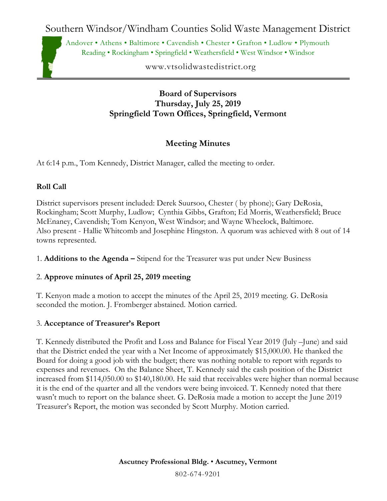Southern Windsor/Windham Counties Solid Waste Management District

Andover • Athens • Baltimore • Cavendish • Chester • Grafton • Ludlow • Plymouth Reading • Rockingham • Springfield • Weathersfield • West Windsor • Windsor

www.vtsolidwastedistrict.org

**Board of Supervisors Thursday, July 25, 2019 Springfield Town Offices, Springfield, Vermont**

# **Meeting Minutes**

At 6:14 p.m., Tom Kennedy, District Manager, called the meeting to order.

# **Roll Call**

District supervisors present included: Derek Suursoo, Chester ( by phone); Gary DeRosia, Rockingham; Scott Murphy, Ludlow; Cynthia Gibbs, Grafton; Ed Morris, Weathersfield; Bruce McEnaney, Cavendish; Tom Kenyon, West Windsor; and Wayne Wheelock, Baltimore. Also present - Hallie Whitcomb and Josephine Hingston. A quorum was achieved with 8 out of 14 towns represented.

1. **Additions to the Agenda –** Stipend for the Treasurer was put under New Business

## 2. **Approve minutes of April 25, 2019 meeting**

T. Kenyon made a motion to accept the minutes of the April 25, 2019 meeting. G. DeRosia seconded the motion. J. Fromberger abstained. Motion carried.

# 3. **Acceptance of Treasurer's Report**

T. Kennedy distributed the Profit and Loss and Balance for Fiscal Year 2019 (July –June) and said that the District ended the year with a Net Income of approximately \$15,000.00. He thanked the Board for doing a good job with the budget; there was nothing notable to report with regards to expenses and revenues. On the Balance Sheet, T. Kennedy said the cash position of the District increased from \$114,050.00 to \$140,180.00. He said that receivables were higher than normal because it is the end of the quarter and all the vendors were being invoiced. T. Kennedy noted that there wasn't much to report on the balance sheet. G. DeRosia made a motion to accept the June 2019 Treasurer's Report, the motion was seconded by Scott Murphy. Motion carried.